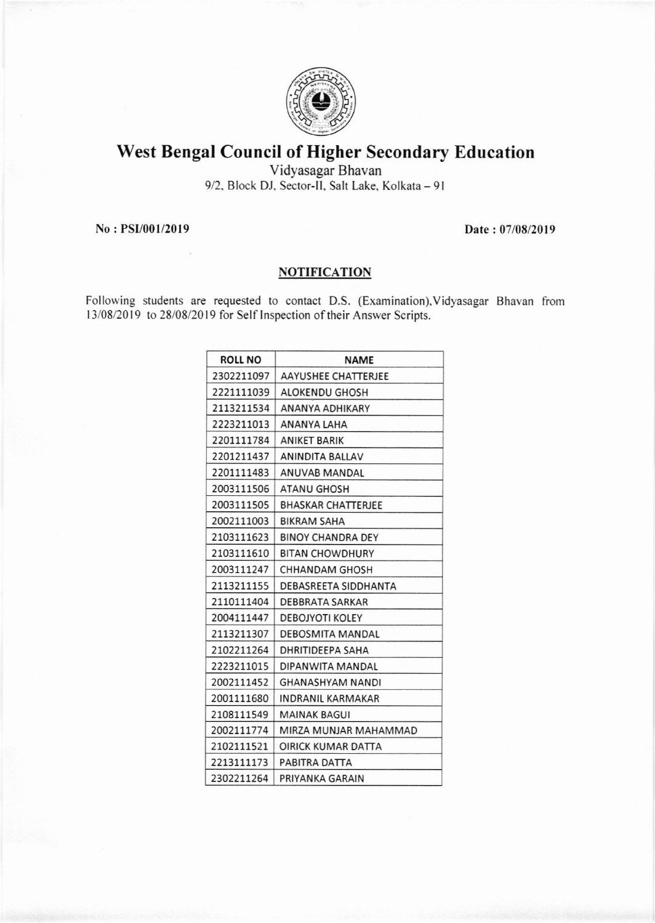

## West Bengal Council of Higher Secondary Education

Vidyasagar Bhavan 9/2, Block DJ, Sector-II, Salt Lake, Kolkata - 91

No : PSI/001/2019 Date : 07/08/2019

## **NOTIFICATION**

Following students are requested to contact D.S. (Examination), Vidyasagar Bhavan from 13/08/2019 to 28/08/2019 for Self Inspection of their Answer Scripts.

| <b>ROLL NO</b> | <b>NAME</b>               |
|----------------|---------------------------|
| 2302211097     | AAYUSHEE CHATTERJEE       |
| 2221111039     | <b>ALOKENDU GHOSH</b>     |
| 2113211534     | ANANYA ADHIKARY           |
| 2223211013     | ANANYA LAHA               |
| 2201111784     | <b>ANIKET BARIK</b>       |
| 2201211437     | ANINDITA BALLAV           |
| 2201111483     | ANUVAB MANDAL             |
| 2003111506     | <b>ATANU GHOSH</b>        |
| 2003111505     | <b>BHASKAR CHATTERJEE</b> |
| 2002111003     | BIKRAM SAHA               |
| 2103111623     | <b>BINOY CHANDRA DEY</b>  |
| 2103111610     | <b>BITAN CHOWDHURY</b>    |
| 2003111247     | CHHANDAM GHOSH            |
| 2113211155     | DEBASREETA SIDDHANTA      |
| 2110111404     | DEBBRATA SARKAR           |
| 2004111447     | <b>DEBOJYOTI KOLEY</b>    |
| 2113211307     | DEBOSMITA MANDAL          |
| 2102211264     | DHRITIDEEPA SAHA          |
| 2223211015     | DIPANWITA MANDAL          |
| 2002111452     | GHANASHYAM NANDI          |
| 2001111680     | INDRANIL KARMAKAR         |
| 2108111549     | <b>MAINAK BAGUI</b>       |
| 2002111774     | MIRZA MUNJAR MAHAMMAD     |
| 2102111521     | OIRICK KUMAR DATTA        |
| 2213111173     | PABITRA DATTA             |
| 2302211264     | PRIYANKA GARAIN           |